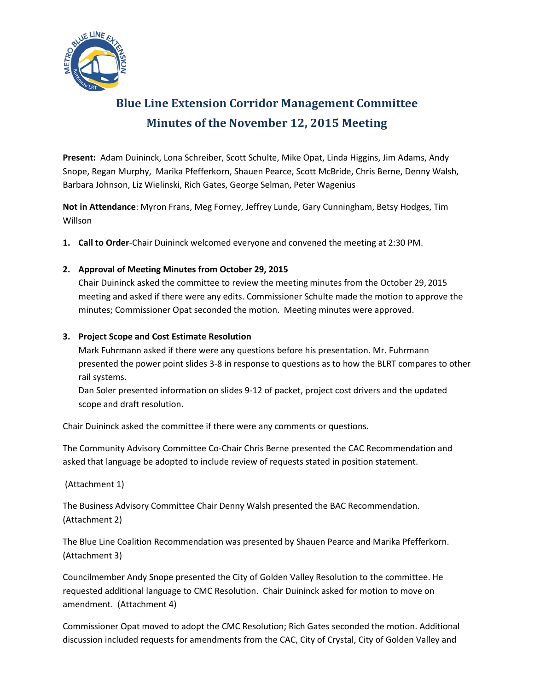

# **Blue Line Extension Corridor Management Committee Minutes of the November 12, 2015 Meeting**

**Present:** Adam Duininck, Lona Schreiber, Scott Schulte, Mike Opat, Linda Higgins, Jim Adams, Andy Snope, Regan Murphy, Marika Pfefferkorn, Shauen Pearce, Scott McBride, Chris Berne, Denny Walsh, Barbara Johnson, Liz Wielinski, Rich Gates, George Selman, Peter Wagenius

**Not in Attendance**: Myron Frans, Meg Forney, Jeffrey Lunde, Gary Cunningham, Betsy Hodges, Tim Willson

**1. Call to Order**-Chair Duininck welcomed everyone and convened the meeting at 2:30 PM.

### **2. Approval of Meeting Minutes from October 29, 2015**

Chair Duininck asked the committee to review the meeting minutes from the October 29, 2015 meeting and asked if there were any edits. Commissioner Schulte made the motion to approve the minutes; Commissioner Opat seconded the motion. Meeting minutes were approved.

### **3. Project Scope and Cost Estimate Resolution**

Mark Fuhrmann asked if there were any questions before his presentation. Mr. Fuhrmann presented the power point slides 3-8 in response to questions as to how the BLRT compares to other rail systems.

Dan Soler presented information on slides 9-12 of packet, project cost drivers and the updated scope and draft resolution.

Chair Duininck asked the committee if there were any comments or questions.

The Community Advisory Committee Co-Chair Chris Berne presented the CAC Recommendation and asked that language be adopted to include review of requests stated in position statement.

(Attachment 1)

The Business Advisory Committee Chair Denny Walsh presented the BAC Recommendation. (Attachment 2)

The Blue Line Coalition Recommendation was presented by Shauen Pearce and Marika Pfefferkorn. (Attachment 3)

Councilmember Andy Snope presented the City of Golden Valley Resolution to the committee. He requested additional language to CMC Resolution. Chair Duininck asked for motion to move on amendment. (Attachment 4)

Commissioner Opat moved to adopt the CMC Resolution; Rich Gates seconded the motion. Additional discussion included requests for amendments from the CAC, City of Crystal, City of Golden Valley and